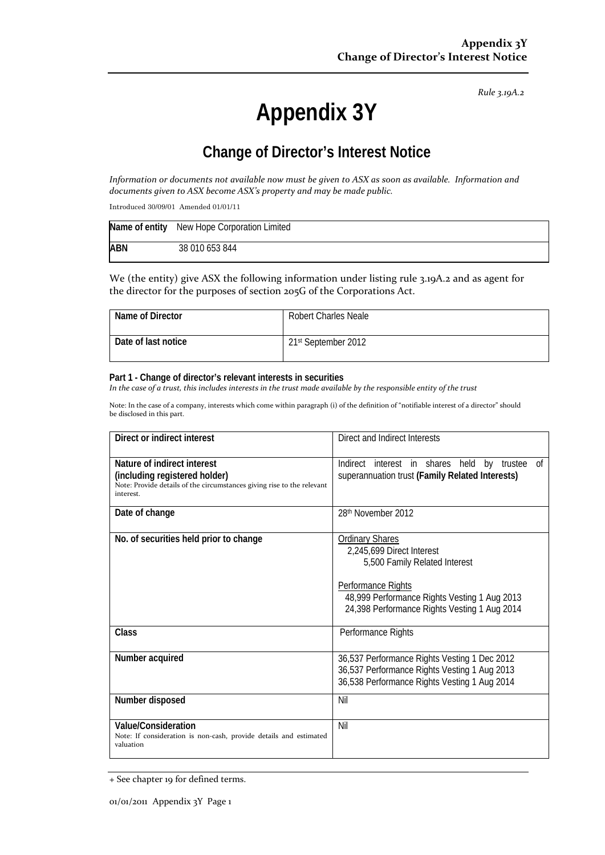*Rule 3.19A.2*

# **Appendix 3Y**

# **Change of Director's Interest Notice**

Information or documents not available now must be given to ASX as soon as available. Information and *documents given to ASX become ASX's property and may be made public.*

Introduced 30/09/01 Amended 01/01/11

|            | Name of entity New Hope Corporation Limited |
|------------|---------------------------------------------|
| <b>ABN</b> | 38 010 653 844                              |

We (the entity) give ASX the following information under listing rule 3.19A.2 and as agent for the director for the purposes of section 205G of the Corporations Act.

| Name of Director    | <b>Robert Charles Neale</b> |
|---------------------|-----------------------------|
| Date of last notice | 21st September 2012         |

#### **Part 1 - Change of director's relevant interests in securities**

In the case of a trust, this includes interests in the trust made available by the responsible entity of the trust

Note: In the case of a company, interests which come within paragraph (i) of the definition of "notifiable interest of a director" should be disclosed in this part.

| Direct or indirect interest                                                                                                                         | Direct and Indirect Interests                                                                                                                                                                              |  |
|-----------------------------------------------------------------------------------------------------------------------------------------------------|------------------------------------------------------------------------------------------------------------------------------------------------------------------------------------------------------------|--|
| Nature of indirect interest<br>(including registered holder)<br>Note: Provide details of the circumstances giving rise to the relevant<br>interest. | Indirect interest in shares held<br>0f<br>by trustee<br>superannuation trust (Family Related Interests)                                                                                                    |  |
| Date of change                                                                                                                                      | 28th November 2012                                                                                                                                                                                         |  |
| No. of securities held prior to change                                                                                                              | <b>Ordinary Shares</b><br>2,245,699 Direct Interest<br>5,500 Family Related Interest<br>Performance Rights<br>48,999 Performance Rights Vesting 1 Aug 2013<br>24,398 Performance Rights Vesting 1 Aug 2014 |  |
| Class                                                                                                                                               | Performance Rights                                                                                                                                                                                         |  |
| Number acquired                                                                                                                                     | 36,537 Performance Rights Vesting 1 Dec 2012<br>36,537 Performance Rights Vesting 1 Aug 2013<br>36,538 Performance Rights Vesting 1 Aug 2014                                                               |  |
| Number disposed                                                                                                                                     | Nil                                                                                                                                                                                                        |  |
| <b>Value/Consideration</b><br>Note: If consideration is non-cash, provide details and estimated<br>valuation                                        | Nil                                                                                                                                                                                                        |  |

<sup>+</sup> See chapter 19 for defined terms.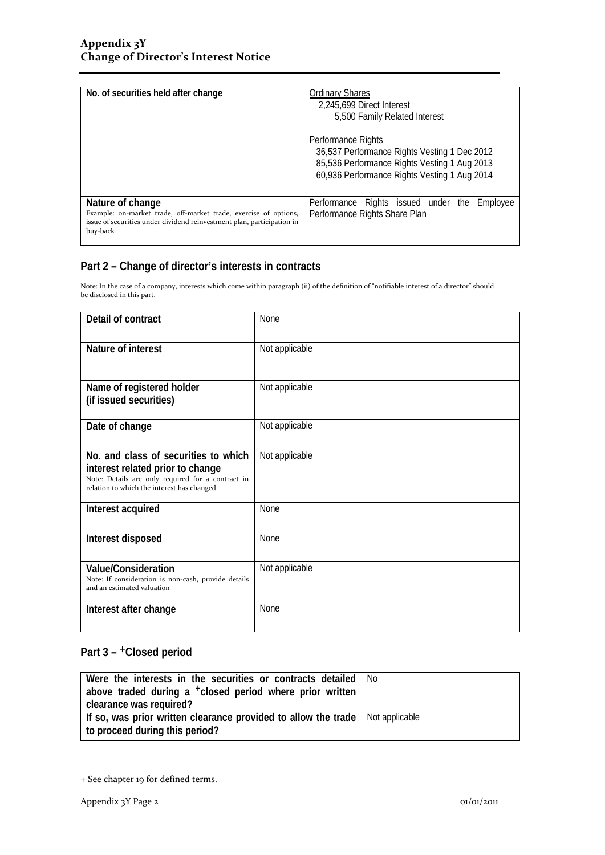| No. of securities held after change                                                                                                                                        | <b>Ordinary Shares</b><br>2,245,699 Direct Interest<br>5,500 Family Related Interest                                                                               |  |
|----------------------------------------------------------------------------------------------------------------------------------------------------------------------------|--------------------------------------------------------------------------------------------------------------------------------------------------------------------|--|
|                                                                                                                                                                            | Performance Rights<br>36,537 Performance Rights Vesting 1 Dec 2012<br>85,536 Performance Rights Vesting 1 Aug 2013<br>60,936 Performance Rights Vesting 1 Aug 2014 |  |
| Nature of change<br>Example: on-market trade, off-market trade, exercise of options,<br>issue of securities under dividend reinvestment plan, participation in<br>buy-back | Performance Rights issued under the Employee<br>Performance Rights Share Plan                                                                                      |  |

### **Part 2 – Change of director's interests in contracts**

Note: In the case of a company, interests which come within paragraph (ii) of the definition of "notifiable interest of a director" should be disclosed in this part.

| Detail of contract                                                                                                                                                          | None           |  |
|-----------------------------------------------------------------------------------------------------------------------------------------------------------------------------|----------------|--|
| Nature of interest                                                                                                                                                          | Not applicable |  |
| Name of registered holder<br>(if issued securities)                                                                                                                         | Not applicable |  |
| Date of change                                                                                                                                                              | Not applicable |  |
| No. and class of securities to which<br>interest related prior to change<br>Note: Details are only required for a contract in<br>relation to which the interest has changed | Not applicable |  |
| Interest acquired                                                                                                                                                           | <b>None</b>    |  |
| Interest disposed                                                                                                                                                           | <b>None</b>    |  |
| <b>Value/Consideration</b><br>Note: If consideration is non-cash, provide details<br>and an estimated valuation                                                             | Not applicable |  |
| Interest after change                                                                                                                                                       | <b>None</b>    |  |

## Part 3 - <sup>+</sup>Closed period

| Were the interests in the securities or contracts detailed<br>above traded during a <sup>+</sup> closed period where prior written<br>clearance was required? | No. |
|---------------------------------------------------------------------------------------------------------------------------------------------------------------|-----|
| If so, was prior written clearance provided to allow the trade   Not applicable<br>to proceed during this period?                                             |     |

<sup>+</sup> See chapter 19 for defined terms.